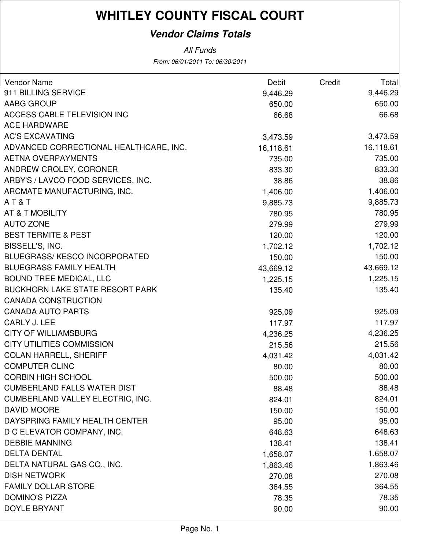### **Vendor Claims Totals**

| <b>Vendor Name</b>                      | Debit     | Credit | Total     |
|-----------------------------------------|-----------|--------|-----------|
| 911 BILLING SERVICE                     | 9,446.29  |        | 9,446.29  |
| AABG GROUP                              | 650.00    |        | 650.00    |
| <b>ACCESS CABLE TELEVISION INC</b>      | 66.68     |        | 66.68     |
| <b>ACE HARDWARE</b>                     |           |        |           |
| <b>AC'S EXCAVATING</b>                  | 3,473.59  |        | 3,473.59  |
| ADVANCED CORRECTIONAL HEALTHCARE, INC.  | 16,118.61 |        | 16,118.61 |
| <b>AETNA OVERPAYMENTS</b>               | 735.00    |        | 735.00    |
| ANDREW CROLEY, CORONER                  | 833.30    |        | 833.30    |
| ARBY'S / LAVCO FOOD SERVICES, INC.      | 38.86     |        | 38.86     |
| ARCMATE MANUFACTURING, INC.             | 1,406.00  |        | 1,406.00  |
| AT&T                                    | 9,885.73  |        | 9,885.73  |
| AT & T MOBILITY                         | 780.95    |        | 780.95    |
| <b>AUTO ZONE</b>                        | 279.99    |        | 279.99    |
| <b>BEST TERMITE &amp; PEST</b>          | 120.00    |        | 120.00    |
| BISSELL'S, INC.                         | 1,702.12  |        | 1,702.12  |
| <b>BLUEGRASS/ KESCO INCORPORATED</b>    | 150.00    |        | 150.00    |
| <b>BLUEGRASS FAMILY HEALTH</b>          | 43,669.12 |        | 43,669.12 |
| <b>BOUND TREE MEDICAL, LLC</b>          | 1,225.15  |        | 1,225.15  |
| <b>BUCKHORN LAKE STATE RESORT PARK</b>  | 135.40    |        | 135.40    |
| <b>CANADA CONSTRUCTION</b>              |           |        |           |
| <b>CANADA AUTO PARTS</b>                | 925.09    |        | 925.09    |
| CARLY J. LEE                            | 117.97    |        | 117.97    |
| <b>CITY OF WILLIAMSBURG</b>             | 4,236.25  |        | 4,236.25  |
| <b>CITY UTILITIES COMMISSION</b>        | 215.56    |        | 215.56    |
| <b>COLAN HARRELL, SHERIFF</b>           | 4,031.42  |        | 4,031.42  |
| <b>COMPUTER CLINC</b>                   | 80.00     |        | 80.00     |
| <b>CORBIN HIGH SCHOOL</b>               | 500.00    |        | 500.00    |
| <b>CUMBERLAND FALLS WATER DIST</b>      | 88.48     |        | 88.48     |
| <b>CUMBERLAND VALLEY ELECTRIC, INC.</b> | 824.01    |        | 824.01    |
| DAVID MOORE                             | 150.00    |        | 150.00    |
| DAYSPRING FAMILY HEALTH CENTER          | 95.00     |        | 95.00     |
| D C ELEVATOR COMPANY, INC.              | 648.63    |        | 648.63    |
| <b>DEBBIE MANNING</b>                   | 138.41    |        | 138.41    |
| <b>DELTA DENTAL</b>                     | 1,658.07  |        | 1,658.07  |
| DELTA NATURAL GAS CO., INC.             | 1,863.46  |        | 1,863.46  |
| <b>DISH NETWORK</b>                     | 270.08    |        | 270.08    |
| <b>FAMILY DOLLAR STORE</b>              | 364.55    |        | 364.55    |
| <b>DOMINO'S PIZZA</b>                   | 78.35     |        | 78.35     |
| <b>DOYLE BRYANT</b>                     | 90.00     |        | 90.00     |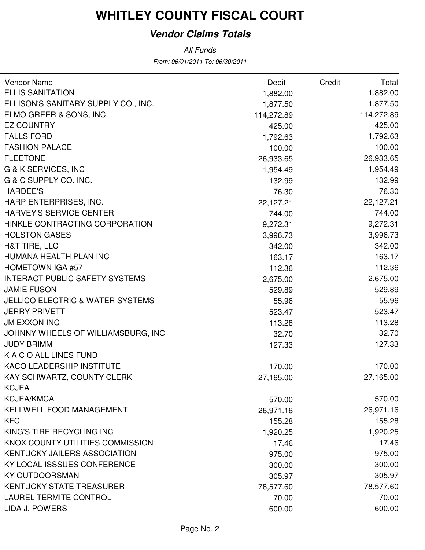### **Vendor Claims Totals**

| <b>ELLIS SANITATION</b><br>1,882.00<br>1,882.00<br>ELLISON'S SANITARY SUPPLY CO., INC.<br>1,877.50<br>ELMO GREER & SONS, INC.<br>114,272.89<br><b>EZ COUNTRY</b><br>425.00<br>425.00<br><b>FALLS FORD</b><br>1,792.63<br><b>FASHION PALACE</b><br>100.00<br>100.00<br><b>FLEETONE</b><br>26,933.65<br>26,933.65<br>G & K SERVICES, INC<br>1,954.49<br>G & C SUPPLY CO. INC.<br>132.99<br>76.30<br><b>HARDEE'S</b><br>76.30<br>HARP ENTERPRISES, INC.<br>22,127.21<br>22,127.21<br>HARVEY'S SERVICE CENTER<br>744.00<br>9,272.31<br>HINKLE CONTRACTING CORPORATION<br>9,272.31<br><b>HOLSTON GASES</b><br>3,996.73<br>3,996.73<br>H&T TIRE, LLC<br>342.00<br>HUMANA HEALTH PLAN INC<br>163.17<br><b>HOMETOWN IGA #57</b><br>112.36<br>112.36<br><b>INTERACT PUBLIC SAFETY SYSTEMS</b><br>2,675.00<br><b>JAMIE FUSON</b><br>529.89<br>529.89<br><b>JELLICO ELECTRIC &amp; WATER SYSTEMS</b><br>55.96<br><b>JERRY PRIVETT</b><br>523.47<br><b>JM EXXON INC</b><br>113.28<br>113.28<br>32.70<br>JOHNNY WHEELS OF WILLIAMSBURG, INC<br>32.70<br><b>JUDY BRIMM</b><br>127.33<br>127.33<br>K A C O ALL LINES FUND<br><b>KACO LEADERSHIP INSTITUTE</b><br>170.00<br>170.00<br>KAY SCHWARTZ, COUNTY CLERK<br>27,165.00<br>27,165.00<br><b>KCJEA</b><br><b>KCJEA/KMCA</b><br>570.00<br>KELLWELL FOOD MANAGEMENT<br>26,971.16<br>26,971.16<br><b>KFC</b><br>155.28<br>KING'S TIRE RECYCLING INC<br>1,920.25<br>KNOX COUNTY UTILITIES COMMISSION<br>17.46<br><b>KENTUCKY JAILERS ASSOCIATION</b><br>975.00<br>975.00<br>KY LOCAL ISSSUES CONFERENCE<br>300.00<br>300.00<br><b>KY OUTDOORSMAN</b><br>305.97<br><b>KENTUCKY STATE TREASURER</b><br>78,577.60<br><b>LAUREL TERMITE CONTROL</b><br>70.00<br>70.00 | <b>Vendor Name</b> | <b>Debit</b> | Credit | Total    |
|---------------------------------------------------------------------------------------------------------------------------------------------------------------------------------------------------------------------------------------------------------------------------------------------------------------------------------------------------------------------------------------------------------------------------------------------------------------------------------------------------------------------------------------------------------------------------------------------------------------------------------------------------------------------------------------------------------------------------------------------------------------------------------------------------------------------------------------------------------------------------------------------------------------------------------------------------------------------------------------------------------------------------------------------------------------------------------------------------------------------------------------------------------------------------------------------------------------------------------------------------------------------------------------------------------------------------------------------------------------------------------------------------------------------------------------------------------------------------------------------------------------------------------------------------------------------------------------------------------------------------------------------------------------------------------------------------|--------------------|--------------|--------|----------|
|                                                                                                                                                                                                                                                                                                                                                                                                                                                                                                                                                                                                                                                                                                                                                                                                                                                                                                                                                                                                                                                                                                                                                                                                                                                                                                                                                                                                                                                                                                                                                                                                                                                                                                   |                    |              |        |          |
| 114,272.89<br>1,792.63<br>1,954.49<br>132.99<br>744.00<br>342.00<br>163.17<br>2,675.00<br>55.96<br>523.47<br>570.00<br>155.28<br>17.46<br>305.97<br>78,577.60                                                                                                                                                                                                                                                                                                                                                                                                                                                                                                                                                                                                                                                                                                                                                                                                                                                                                                                                                                                                                                                                                                                                                                                                                                                                                                                                                                                                                                                                                                                                     |                    |              |        | 1,877.50 |
|                                                                                                                                                                                                                                                                                                                                                                                                                                                                                                                                                                                                                                                                                                                                                                                                                                                                                                                                                                                                                                                                                                                                                                                                                                                                                                                                                                                                                                                                                                                                                                                                                                                                                                   |                    |              |        |          |
|                                                                                                                                                                                                                                                                                                                                                                                                                                                                                                                                                                                                                                                                                                                                                                                                                                                                                                                                                                                                                                                                                                                                                                                                                                                                                                                                                                                                                                                                                                                                                                                                                                                                                                   |                    |              |        |          |
|                                                                                                                                                                                                                                                                                                                                                                                                                                                                                                                                                                                                                                                                                                                                                                                                                                                                                                                                                                                                                                                                                                                                                                                                                                                                                                                                                                                                                                                                                                                                                                                                                                                                                                   |                    |              |        |          |
|                                                                                                                                                                                                                                                                                                                                                                                                                                                                                                                                                                                                                                                                                                                                                                                                                                                                                                                                                                                                                                                                                                                                                                                                                                                                                                                                                                                                                                                                                                                                                                                                                                                                                                   |                    |              |        |          |
|                                                                                                                                                                                                                                                                                                                                                                                                                                                                                                                                                                                                                                                                                                                                                                                                                                                                                                                                                                                                                                                                                                                                                                                                                                                                                                                                                                                                                                                                                                                                                                                                                                                                                                   |                    |              |        |          |
|                                                                                                                                                                                                                                                                                                                                                                                                                                                                                                                                                                                                                                                                                                                                                                                                                                                                                                                                                                                                                                                                                                                                                                                                                                                                                                                                                                                                                                                                                                                                                                                                                                                                                                   |                    |              |        |          |
|                                                                                                                                                                                                                                                                                                                                                                                                                                                                                                                                                                                                                                                                                                                                                                                                                                                                                                                                                                                                                                                                                                                                                                                                                                                                                                                                                                                                                                                                                                                                                                                                                                                                                                   |                    |              |        |          |
|                                                                                                                                                                                                                                                                                                                                                                                                                                                                                                                                                                                                                                                                                                                                                                                                                                                                                                                                                                                                                                                                                                                                                                                                                                                                                                                                                                                                                                                                                                                                                                                                                                                                                                   |                    |              |        |          |
|                                                                                                                                                                                                                                                                                                                                                                                                                                                                                                                                                                                                                                                                                                                                                                                                                                                                                                                                                                                                                                                                                                                                                                                                                                                                                                                                                                                                                                                                                                                                                                                                                                                                                                   |                    |              |        |          |
|                                                                                                                                                                                                                                                                                                                                                                                                                                                                                                                                                                                                                                                                                                                                                                                                                                                                                                                                                                                                                                                                                                                                                                                                                                                                                                                                                                                                                                                                                                                                                                                                                                                                                                   |                    |              |        |          |
|                                                                                                                                                                                                                                                                                                                                                                                                                                                                                                                                                                                                                                                                                                                                                                                                                                                                                                                                                                                                                                                                                                                                                                                                                                                                                                                                                                                                                                                                                                                                                                                                                                                                                                   |                    |              |        |          |
|                                                                                                                                                                                                                                                                                                                                                                                                                                                                                                                                                                                                                                                                                                                                                                                                                                                                                                                                                                                                                                                                                                                                                                                                                                                                                                                                                                                                                                                                                                                                                                                                                                                                                                   |                    |              |        |          |
|                                                                                                                                                                                                                                                                                                                                                                                                                                                                                                                                                                                                                                                                                                                                                                                                                                                                                                                                                                                                                                                                                                                                                                                                                                                                                                                                                                                                                                                                                                                                                                                                                                                                                                   |                    |              |        |          |
|                                                                                                                                                                                                                                                                                                                                                                                                                                                                                                                                                                                                                                                                                                                                                                                                                                                                                                                                                                                                                                                                                                                                                                                                                                                                                                                                                                                                                                                                                                                                                                                                                                                                                                   |                    |              |        |          |
|                                                                                                                                                                                                                                                                                                                                                                                                                                                                                                                                                                                                                                                                                                                                                                                                                                                                                                                                                                                                                                                                                                                                                                                                                                                                                                                                                                                                                                                                                                                                                                                                                                                                                                   |                    |              |        |          |
|                                                                                                                                                                                                                                                                                                                                                                                                                                                                                                                                                                                                                                                                                                                                                                                                                                                                                                                                                                                                                                                                                                                                                                                                                                                                                                                                                                                                                                                                                                                                                                                                                                                                                                   |                    |              |        |          |
|                                                                                                                                                                                                                                                                                                                                                                                                                                                                                                                                                                                                                                                                                                                                                                                                                                                                                                                                                                                                                                                                                                                                                                                                                                                                                                                                                                                                                                                                                                                                                                                                                                                                                                   |                    |              |        |          |
|                                                                                                                                                                                                                                                                                                                                                                                                                                                                                                                                                                                                                                                                                                                                                                                                                                                                                                                                                                                                                                                                                                                                                                                                                                                                                                                                                                                                                                                                                                                                                                                                                                                                                                   |                    |              |        |          |
|                                                                                                                                                                                                                                                                                                                                                                                                                                                                                                                                                                                                                                                                                                                                                                                                                                                                                                                                                                                                                                                                                                                                                                                                                                                                                                                                                                                                                                                                                                                                                                                                                                                                                                   |                    |              |        |          |
|                                                                                                                                                                                                                                                                                                                                                                                                                                                                                                                                                                                                                                                                                                                                                                                                                                                                                                                                                                                                                                                                                                                                                                                                                                                                                                                                                                                                                                                                                                                                                                                                                                                                                                   |                    |              |        |          |
|                                                                                                                                                                                                                                                                                                                                                                                                                                                                                                                                                                                                                                                                                                                                                                                                                                                                                                                                                                                                                                                                                                                                                                                                                                                                                                                                                                                                                                                                                                                                                                                                                                                                                                   |                    |              |        |          |
|                                                                                                                                                                                                                                                                                                                                                                                                                                                                                                                                                                                                                                                                                                                                                                                                                                                                                                                                                                                                                                                                                                                                                                                                                                                                                                                                                                                                                                                                                                                                                                                                                                                                                                   |                    |              |        |          |
|                                                                                                                                                                                                                                                                                                                                                                                                                                                                                                                                                                                                                                                                                                                                                                                                                                                                                                                                                                                                                                                                                                                                                                                                                                                                                                                                                                                                                                                                                                                                                                                                                                                                                                   |                    |              |        |          |
|                                                                                                                                                                                                                                                                                                                                                                                                                                                                                                                                                                                                                                                                                                                                                                                                                                                                                                                                                                                                                                                                                                                                                                                                                                                                                                                                                                                                                                                                                                                                                                                                                                                                                                   |                    |              |        |          |
|                                                                                                                                                                                                                                                                                                                                                                                                                                                                                                                                                                                                                                                                                                                                                                                                                                                                                                                                                                                                                                                                                                                                                                                                                                                                                                                                                                                                                                                                                                                                                                                                                                                                                                   |                    |              |        |          |
|                                                                                                                                                                                                                                                                                                                                                                                                                                                                                                                                                                                                                                                                                                                                                                                                                                                                                                                                                                                                                                                                                                                                                                                                                                                                                                                                                                                                                                                                                                                                                                                                                                                                                                   |                    |              |        |          |
|                                                                                                                                                                                                                                                                                                                                                                                                                                                                                                                                                                                                                                                                                                                                                                                                                                                                                                                                                                                                                                                                                                                                                                                                                                                                                                                                                                                                                                                                                                                                                                                                                                                                                                   |                    |              |        |          |
|                                                                                                                                                                                                                                                                                                                                                                                                                                                                                                                                                                                                                                                                                                                                                                                                                                                                                                                                                                                                                                                                                                                                                                                                                                                                                                                                                                                                                                                                                                                                                                                                                                                                                                   |                    |              |        |          |
|                                                                                                                                                                                                                                                                                                                                                                                                                                                                                                                                                                                                                                                                                                                                                                                                                                                                                                                                                                                                                                                                                                                                                                                                                                                                                                                                                                                                                                                                                                                                                                                                                                                                                                   |                    |              |        |          |
|                                                                                                                                                                                                                                                                                                                                                                                                                                                                                                                                                                                                                                                                                                                                                                                                                                                                                                                                                                                                                                                                                                                                                                                                                                                                                                                                                                                                                                                                                                                                                                                                                                                                                                   |                    |              |        | 1,920.25 |
|                                                                                                                                                                                                                                                                                                                                                                                                                                                                                                                                                                                                                                                                                                                                                                                                                                                                                                                                                                                                                                                                                                                                                                                                                                                                                                                                                                                                                                                                                                                                                                                                                                                                                                   |                    |              |        |          |
|                                                                                                                                                                                                                                                                                                                                                                                                                                                                                                                                                                                                                                                                                                                                                                                                                                                                                                                                                                                                                                                                                                                                                                                                                                                                                                                                                                                                                                                                                                                                                                                                                                                                                                   |                    |              |        |          |
|                                                                                                                                                                                                                                                                                                                                                                                                                                                                                                                                                                                                                                                                                                                                                                                                                                                                                                                                                                                                                                                                                                                                                                                                                                                                                                                                                                                                                                                                                                                                                                                                                                                                                                   |                    |              |        |          |
|                                                                                                                                                                                                                                                                                                                                                                                                                                                                                                                                                                                                                                                                                                                                                                                                                                                                                                                                                                                                                                                                                                                                                                                                                                                                                                                                                                                                                                                                                                                                                                                                                                                                                                   |                    |              |        |          |
|                                                                                                                                                                                                                                                                                                                                                                                                                                                                                                                                                                                                                                                                                                                                                                                                                                                                                                                                                                                                                                                                                                                                                                                                                                                                                                                                                                                                                                                                                                                                                                                                                                                                                                   |                    |              |        |          |
|                                                                                                                                                                                                                                                                                                                                                                                                                                                                                                                                                                                                                                                                                                                                                                                                                                                                                                                                                                                                                                                                                                                                                                                                                                                                                                                                                                                                                                                                                                                                                                                                                                                                                                   |                    |              |        |          |
| LIDA J. POWERS<br>600.00<br>600.00                                                                                                                                                                                                                                                                                                                                                                                                                                                                                                                                                                                                                                                                                                                                                                                                                                                                                                                                                                                                                                                                                                                                                                                                                                                                                                                                                                                                                                                                                                                                                                                                                                                                |                    |              |        |          |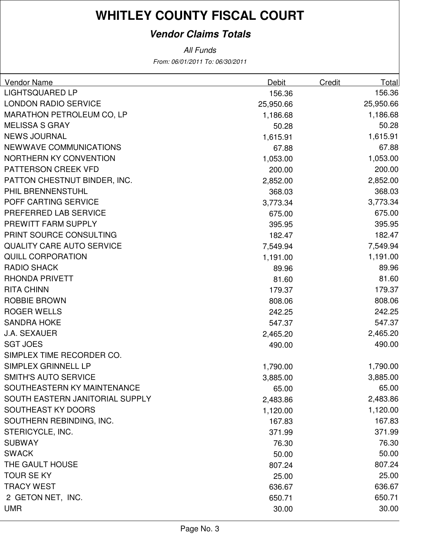### **Vendor Claims Totals**

| <b>Vendor Name</b>               | <b>Debit</b> | <b>Credit</b> | <b>Total</b> |
|----------------------------------|--------------|---------------|--------------|
| <b>LIGHTSQUARED LP</b>           | 156.36       |               | 156.36       |
| <b>LONDON RADIO SERVICE</b>      | 25,950.66    |               | 25,950.66    |
| <b>MARATHON PETROLEUM CO, LP</b> | 1,186.68     |               | 1,186.68     |
| <b>MELISSA S GRAY</b>            | 50.28        |               | 50.28        |
| <b>NEWS JOURNAL</b>              | 1,615.91     |               | 1,615.91     |
| NEWWAVE COMMUNICATIONS           | 67.88        |               | 67.88        |
| NORTHERN KY CONVENTION           | 1,053.00     |               | 1,053.00     |
| PATTERSON CREEK VFD              | 200.00       |               | 200.00       |
| PATTON CHESTNUT BINDER, INC.     | 2,852.00     |               | 2,852.00     |
| PHIL BRENNENSTUHL                | 368.03       |               | 368.03       |
| POFF CARTING SERVICE             | 3,773.34     |               | 3,773.34     |
| PREFERRED LAB SERVICE            | 675.00       |               | 675.00       |
| PREWITT FARM SUPPLY              | 395.95       |               | 395.95       |
| PRINT SOURCE CONSULTING          | 182.47       |               | 182.47       |
| <b>QUALITY CARE AUTO SERVICE</b> | 7,549.94     |               | 7,549.94     |
| <b>QUILL CORPORATION</b>         | 1,191.00     |               | 1,191.00     |
| <b>RADIO SHACK</b>               | 89.96        |               | 89.96        |
| <b>RHONDA PRIVETT</b>            | 81.60        |               | 81.60        |
| <b>RITA CHINN</b>                | 179.37       |               | 179.37       |
| <b>ROBBIE BROWN</b>              | 808.06       |               | 808.06       |
| <b>ROGER WELLS</b>               | 242.25       |               | 242.25       |
| <b>SANDRA HOKE</b>               | 547.37       |               | 547.37       |
| <b>J.A. SEXAUER</b>              | 2,465.20     |               | 2,465.20     |
| <b>SGT JOES</b>                  | 490.00       |               | 490.00       |
| SIMPLEX TIME RECORDER CO.        |              |               |              |
| SIMPLEX GRINNELL LP              | 1,790.00     |               | 1,790.00     |
| <b>SMITH'S AUTO SERVICE</b>      | 3,885.00     |               | 3,885.00     |
| SOUTHEASTERN KY MAINTENANCE      | 65.00        |               | 65.00        |
| SOUTH EASTERN JANITORIAL SUPPLY  | 2,483.86     |               | 2,483.86     |
| SOUTHEAST KY DOORS               | 1,120.00     |               | 1,120.00     |
| SOUTHERN REBINDING, INC.         | 167.83       |               | 167.83       |
| STERICYCLE, INC.                 | 371.99       |               | 371.99       |
| <b>SUBWAY</b>                    | 76.30        |               | 76.30        |
| <b>SWACK</b>                     | 50.00        |               | 50.00        |
| THE GAULT HOUSE                  | 807.24       |               | 807.24       |
| <b>TOUR SE KY</b>                | 25.00        |               | 25.00        |
| <b>TRACY WEST</b>                | 636.67       |               | 636.67       |
| 2 GETON NET, INC.                | 650.71       |               | 650.71       |
| <b>UMR</b>                       | 30.00        |               | 30.00        |